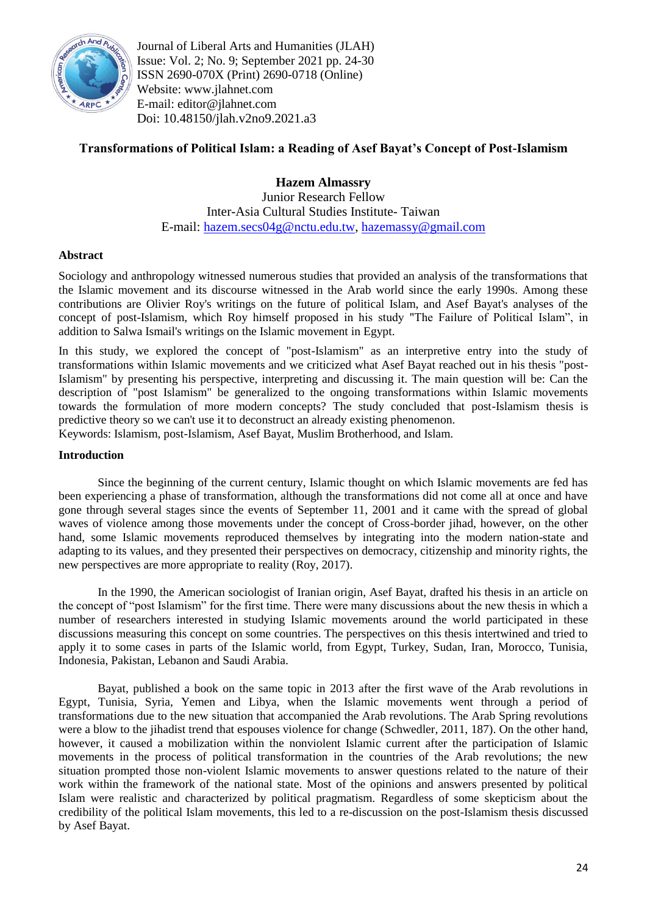

Journal of Liberal Arts and Humanities (JLAH) Issue: Vol. 2; No. 9; September 2021 pp. 24-30 ISSN 2690-070X (Print) 2690-0718 (Online) Website: www.jlahnet.com E-mail: editor@jlahnet.com Doi: 10.48150/jlah.v2no9.2021.a3

# **Transformations of Political Islam: a Reading of Asef Bayat's Concept of Post-Islamism**

**Hazem Almassry** Junior Research Fellow Inter-Asia Cultural Studies Institute- Taiwan E-mail: [hazem.secs04g@nctu.edu.tw,](mailto:hazem.secs04g@nctu.edu.tw) [hazemassy@gmail.com](mailto:hazemassy@gmail.com)

## **Abstract**

Sociology and anthropology witnessed numerous studies that provided an analysis of the transformations that the Islamic movement and its discourse witnessed in the Arab world since the early 1990s. Among these contributions are Olivier Roy's writings on the future of political Islam, and Asef Bayat's analyses of the concept of post-Islamism, which Roy himself proposed in his study "The Failure of Political Islam", in addition to Salwa Ismail's writings on the Islamic movement in Egypt.

In this study, we explored the concept of "post-Islamism" as an interpretive entry into the study of transformations within Islamic movements and we criticized what Asef Bayat reached out in his thesis "post-Islamism" by presenting his perspective, interpreting and discussing it. The main question will be: Can the description of "post Islamism" be generalized to the ongoing transformations within Islamic movements towards the formulation of more modern concepts? The study concluded that post-Islamism thesis is predictive theory so we can't use it to deconstruct an already existing phenomenon.

Keywords: Islamism, post-Islamism, Asef Bayat, Muslim Brotherhood, and Islam.

#### **Introduction**

Since the beginning of the current century, Islamic thought on which Islamic movements are fed has been experiencing a phase of transformation, although the transformations did not come all at once and have gone through several stages since the events of September 11, 2001 and it came with the spread of global waves of violence among those movements under the concept of Cross-border jihad, however, on the other hand, some Islamic movements reproduced themselves by integrating into the modern nation-state and adapting to its values, and they presented their perspectives on democracy, citizenship and minority rights, the new perspectives are more appropriate to reality (Roy, 2017).

In the 1990, the American sociologist of Iranian origin, Asef Bayat, drafted his thesis in an article on the concept of "post Islamism" for the first time. There were many discussions about the new thesis in which a number of researchers interested in studying Islamic movements around the world participated in these discussions measuring this concept on some countries. The perspectives on this thesis intertwined and tried to apply it to some cases in parts of the Islamic world, from Egypt, Turkey, Sudan, Iran, Morocco, Tunisia, Indonesia, Pakistan, Lebanon and Saudi Arabia.

Bayat, published a book on the same topic in 2013 after the first wave of the Arab revolutions in Egypt, Tunisia, Syria, Yemen and Libya, when the Islamic movements went through a period of transformations due to the new situation that accompanied the Arab revolutions. The Arab Spring revolutions were a blow to the jihadist trend that espouses violence for change (Schwedler, 2011, 187). On the other hand, however, it caused a mobilization within the nonviolent Islamic current after the participation of Islamic movements in the process of political transformation in the countries of the Arab revolutions; the new situation prompted those non-violent Islamic movements to answer questions related to the nature of their work within the framework of the national state. Most of the opinions and answers presented by political Islam were realistic and characterized by political pragmatism. Regardless of some skepticism about the credibility of the political Islam movements, this led to a re-discussion on the post-Islamism thesis discussed by Asef Bayat.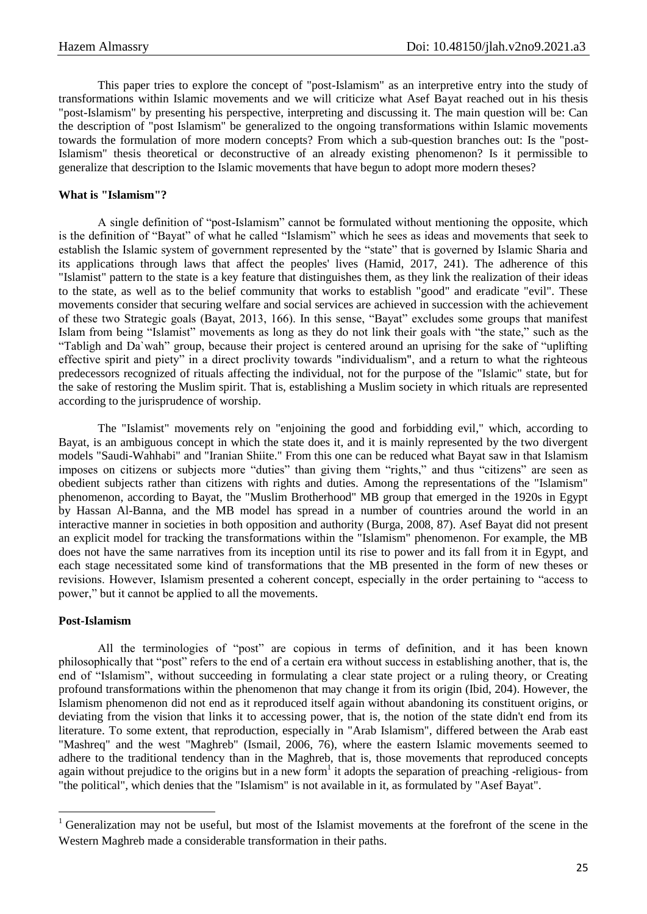This paper tries to explore the concept of "post-Islamism" as an interpretive entry into the study of transformations within Islamic movements and we will criticize what Asef Bayat reached out in his thesis "post-Islamism" by presenting his perspective, interpreting and discussing it. The main question will be: Can the description of "post Islamism" be generalized to the ongoing transformations within Islamic movements towards the formulation of more modern concepts? From which a sub-question branches out: Is the "post-Islamism" thesis theoretical or deconstructive of an already existing phenomenon? Is it permissible to generalize that description to the Islamic movements that have begun to adopt more modern theses?

### **What is "Islamism"?**

A single definition of "post-Islamism" cannot be formulated without mentioning the opposite, which is the definition of "Bayat" of what he called "Islamism" which he sees as ideas and movements that seek to establish the Islamic system of government represented by the "state" that is governed by Islamic Sharia and its applications through laws that affect the peoples' lives (Hamid, 2017, 241). The adherence of this "Islamist" pattern to the state is a key feature that distinguishes them, as they link the realization of their ideas to the state, as well as to the belief community that works to establish "good" and eradicate "evil". These movements consider that securing welfare and social services are achieved in succession with the achievement of these two Strategic goals (Bayat, 2013, 166). In this sense, "Bayat" excludes some groups that manifest Islam from being "Islamist" movements as long as they do not link their goals with "the state," such as the "Tabligh and Da`wah" group, because their project is centered around an uprising for the sake of "uplifting effective spirit and piety" in a direct proclivity towards "individualism", and a return to what the righteous predecessors recognized of rituals affecting the individual, not for the purpose of the "Islamic" state, but for the sake of restoring the Muslim spirit. That is, establishing a Muslim society in which rituals are represented according to the jurisprudence of worship.

The "Islamist" movements rely on "enjoining the good and forbidding evil," which, according to Bayat, is an ambiguous concept in which the state does it, and it is mainly represented by the two divergent models "Saudi-Wahhabi" and "Iranian Shiite." From this one can be reduced what Bayat saw in that Islamism imposes on citizens or subjects more "duties" than giving them "rights," and thus "citizens" are seen as obedient subjects rather than citizens with rights and duties. Among the representations of the "Islamism" phenomenon, according to Bayat, the "Muslim Brotherhood" MB group that emerged in the 1920s in Egypt by Hassan Al-Banna, and the MB model has spread in a number of countries around the world in an interactive manner in societies in both opposition and authority (Burga, 2008, 87). Asef Bayat did not present an explicit model for tracking the transformations within the "Islamism" phenomenon. For example, the MB does not have the same narratives from its inception until its rise to power and its fall from it in Egypt, and each stage necessitated some kind of transformations that the MB presented in the form of new theses or revisions. However, Islamism presented a coherent concept, especially in the order pertaining to "access to power," but it cannot be applied to all the movements.

#### **Post-Islamism**

1

All the terminologies of "post" are copious in terms of definition, and it has been known philosophically that "post" refers to the end of a certain era without success in establishing another, that is, the end of "Islamism", without succeeding in formulating a clear state project or a ruling theory, or Creating profound transformations within the phenomenon that may change it from its origin (Ibid, 204). However, the Islamism phenomenon did not end as it reproduced itself again without abandoning its constituent origins, or deviating from the vision that links it to accessing power, that is, the notion of the state didn't end from its literature. To some extent, that reproduction, especially in "Arab Islamism", differed between the Arab east "Mashreq" and the west "Maghreb" (Ismail, 2006, 76), where the eastern Islamic movements seemed to adhere to the traditional tendency than in the Maghreb, that is, those movements that reproduced concepts again without prejudice to the origins but in a new form<sup>1</sup> it adopts the separation of preaching -religious- from "the political", which denies that the "Islamism" is not available in it, as formulated by "Asef Bayat".

<sup>&</sup>lt;sup>1</sup> Generalization may not be useful, but most of the Islamist movements at the forefront of the scene in the Western Maghreb made a considerable transformation in their paths.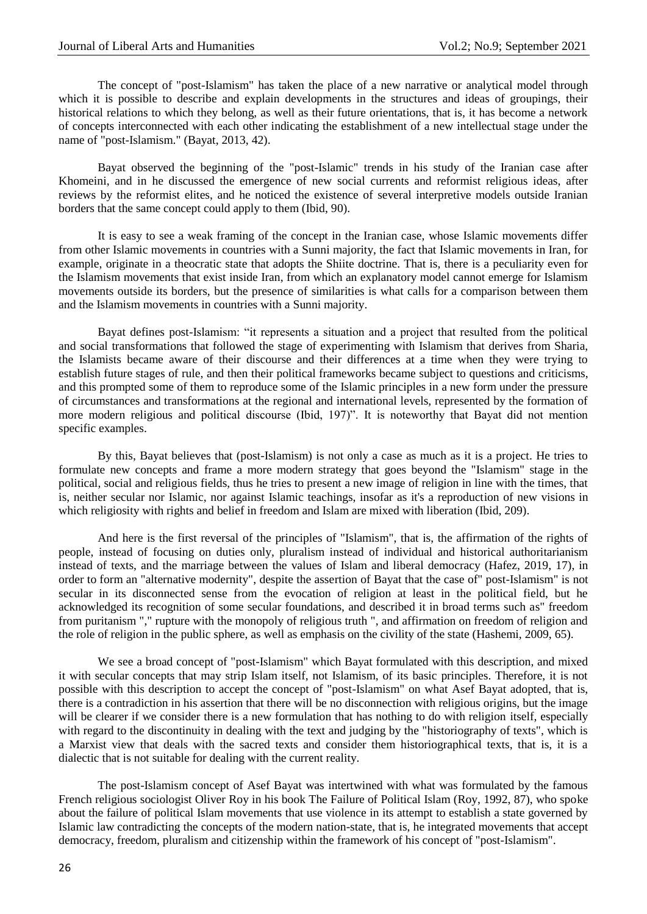The concept of "post-Islamism" has taken the place of a new narrative or analytical model through which it is possible to describe and explain developments in the structures and ideas of groupings, their historical relations to which they belong, as well as their future orientations, that is, it has become a network of concepts interconnected with each other indicating the establishment of a new intellectual stage under the name of "post-Islamism." (Bayat, 2013, 42).

Bayat observed the beginning of the "post-Islamic" trends in his study of the Iranian case after Khomeini, and in he discussed the emergence of new social currents and reformist religious ideas, after reviews by the reformist elites, and he noticed the existence of several interpretive models outside Iranian borders that the same concept could apply to them (Ibid, 90).

It is easy to see a weak framing of the concept in the Iranian case, whose Islamic movements differ from other Islamic movements in countries with a Sunni majority, the fact that Islamic movements in Iran, for example, originate in a theocratic state that adopts the Shiite doctrine. That is, there is a peculiarity even for the Islamism movements that exist inside Iran, from which an explanatory model cannot emerge for Islamism movements outside its borders, but the presence of similarities is what calls for a comparison between them and the Islamism movements in countries with a Sunni majority.

Bayat defines post-Islamism: "it represents a situation and a project that resulted from the political and social transformations that followed the stage of experimenting with Islamism that derives from Sharia, the Islamists became aware of their discourse and their differences at a time when they were trying to establish future stages of rule, and then their political frameworks became subject to questions and criticisms, and this prompted some of them to reproduce some of the Islamic principles in a new form under the pressure of circumstances and transformations at the regional and international levels, represented by the formation of more modern religious and political discourse (Ibid, 197)". It is noteworthy that Bayat did not mention specific examples.

By this, Bayat believes that (post-Islamism) is not only a case as much as it is a project. He tries to formulate new concepts and frame a more modern strategy that goes beyond the "Islamism" stage in the political, social and religious fields, thus he tries to present a new image of religion in line with the times, that is, neither secular nor Islamic, nor against Islamic teachings, insofar as it's a reproduction of new visions in which religiosity with rights and belief in freedom and Islam are mixed with liberation (Ibid, 209).

And here is the first reversal of the principles of "Islamism", that is, the affirmation of the rights of people, instead of focusing on duties only, pluralism instead of individual and historical authoritarianism instead of texts, and the marriage between the values of Islam and liberal democracy (Hafez, 2019, 17), in order to form an "alternative modernity", despite the assertion of Bayat that the case of" post-Islamism" is not secular in its disconnected sense from the evocation of religion at least in the political field, but he acknowledged its recognition of some secular foundations, and described it in broad terms such as" freedom from puritanism "," rupture with the monopoly of religious truth ", and affirmation on freedom of religion and the role of religion in the public sphere, as well as emphasis on the civility of the state (Hashemi, 2009, 65).

We see a broad concept of "post-Islamism" which Bayat formulated with this description, and mixed it with secular concepts that may strip Islam itself, not Islamism, of its basic principles. Therefore, it is not possible with this description to accept the concept of "post-Islamism" on what Asef Bayat adopted, that is, there is a contradiction in his assertion that there will be no disconnection with religious origins, but the image will be clearer if we consider there is a new formulation that has nothing to do with religion itself, especially with regard to the discontinuity in dealing with the text and judging by the "historiography of texts", which is a Marxist view that deals with the sacred texts and consider them historiographical texts, that is, it is a dialectic that is not suitable for dealing with the current reality.

The post-Islamism concept of Asef Bayat was intertwined with what was formulated by the famous French religious sociologist Oliver Roy in his book The Failure of Political Islam (Roy, 1992, 87), who spoke about the failure of political Islam movements that use violence in its attempt to establish a state governed by Islamic law contradicting the concepts of the modern nation-state, that is, he integrated movements that accept democracy, freedom, pluralism and citizenship within the framework of his concept of "post-Islamism".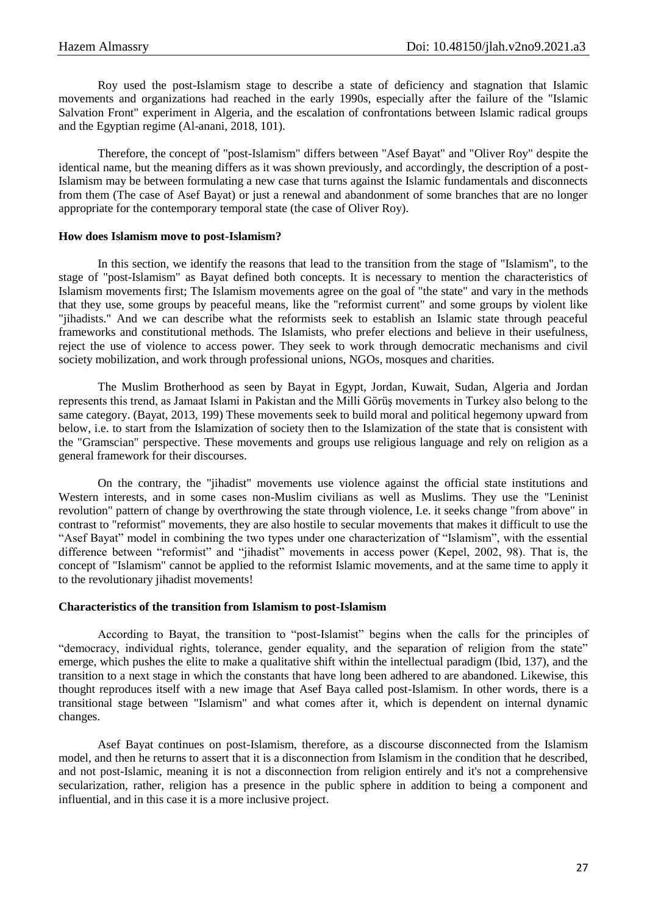Roy used the post-Islamism stage to describe a state of deficiency and stagnation that Islamic movements and organizations had reached in the early 1990s, especially after the failure of the "Islamic Salvation Front" experiment in Algeria, and the escalation of confrontations between Islamic radical groups and the Egyptian regime (Al-anani, 2018, 101).

Therefore, the concept of "post-Islamism" differs between "Asef Bayat" and "Oliver Roy" despite the identical name, but the meaning differs as it was shown previously, and accordingly, the description of a post-Islamism may be between formulating a new case that turns against the Islamic fundamentals and disconnects from them (The case of Asef Bayat) or just a renewal and abandonment of some branches that are no longer appropriate for the contemporary temporal state (the case of Oliver Roy).

#### **How does Islamism move to post-Islamism?**

In this section, we identify the reasons that lead to the transition from the stage of "Islamism", to the stage of "post-Islamism" as Bayat defined both concepts. It is necessary to mention the characteristics of Islamism movements first; The Islamism movements agree on the goal of "the state" and vary in the methods that they use, some groups by peaceful means, like the "reformist current" and some groups by violent like "jihadists." And we can describe what the reformists seek to establish an Islamic state through peaceful frameworks and constitutional methods. The Islamists, who prefer elections and believe in their usefulness, reject the use of violence to access power. They seek to work through democratic mechanisms and civil society mobilization, and work through professional unions, NGOs, mosques and charities.

The Muslim Brotherhood as seen by Bayat in Egypt, Jordan, Kuwait, Sudan, Algeria and Jordan represents this trend, as Jamaat Islami in Pakistan and the Milli Görüş movements in Turkey also belong to the same category. (Bayat, 2013, 199) These movements seek to build moral and political hegemony upward from below, i.e. to start from the Islamization of society then to the Islamization of the state that is consistent with the "Gramscian" perspective. These movements and groups use religious language and rely on religion as a general framework for their discourses.

On the contrary, the "jihadist" movements use violence against the official state institutions and Western interests, and in some cases non-Muslim civilians as well as Muslims. They use the "Leninist revolution" pattern of change by overthrowing the state through violence, I.e. it seeks change "from above" in contrast to "reformist" movements, they are also hostile to secular movements that makes it difficult to use the "Asef Bayat" model in combining the two types under one characterization of "Islamism", with the essential difference between "reformist" and "jihadist" movements in access power (Kepel, 2002, 98). That is, the concept of "Islamism" cannot be applied to the reformist Islamic movements, and at the same time to apply it to the revolutionary jihadist movements!

#### **Characteristics of the transition from Islamism to post-Islamism**

According to Bayat, the transition to "post-Islamist" begins when the calls for the principles of "democracy, individual rights, tolerance, gender equality, and the separation of religion from the state" emerge, which pushes the elite to make a qualitative shift within the intellectual paradigm (Ibid, 137), and the transition to a next stage in which the constants that have long been adhered to are abandoned. Likewise, this thought reproduces itself with a new image that Asef Baya called post-Islamism. In other words, there is a transitional stage between "Islamism" and what comes after it, which is dependent on internal dynamic changes.

Asef Bayat continues on post-Islamism, therefore, as a discourse disconnected from the Islamism model, and then he returns to assert that it is a disconnection from Islamism in the condition that he described, and not post-Islamic, meaning it is not a disconnection from religion entirely and it's not a comprehensive secularization, rather, religion has a presence in the public sphere in addition to being a component and influential, and in this case it is a more inclusive project.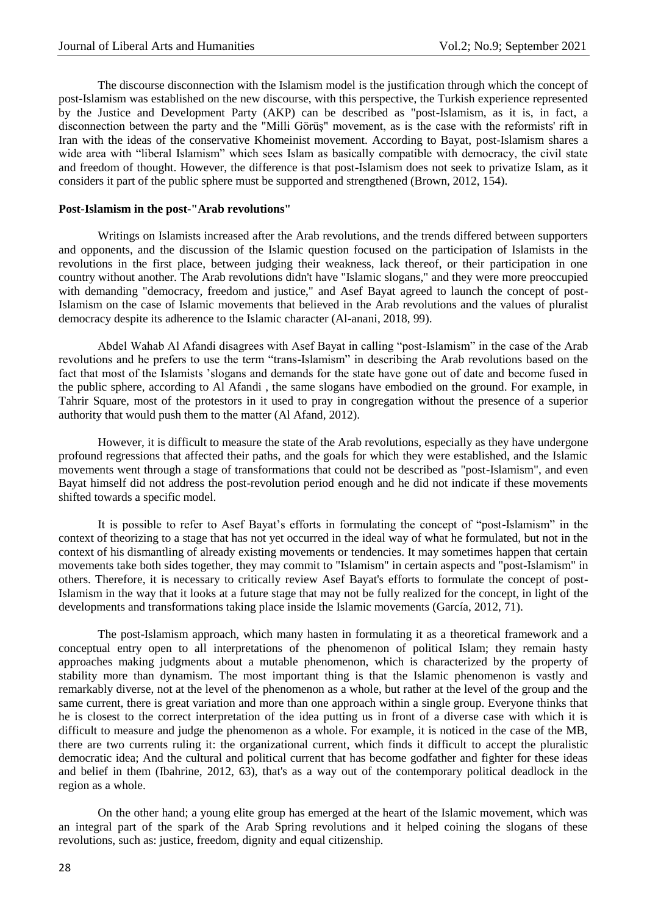The discourse disconnection with the Islamism model is the justification through which the concept of post-Islamism was established on the new discourse, with this perspective, the Turkish experience represented by the Justice and Development Party (AKP) can be described as "post-Islamism, as it is, in fact, a disconnection between the party and the "Milli Görüş" movement, as is the case with the reformists' rift in Iran with the ideas of the conservative Khomeinist movement. According to Bayat, post-Islamism shares a wide area with "liberal Islamism" which sees Islam as basically compatible with democracy, the civil state and freedom of thought. However, the difference is that post-Islamism does not seek to privatize Islam, as it considers it part of the public sphere must be supported and strengthened (Brown, 2012, 154).

#### **Post-Islamism in the post-"Arab revolutions"**

Writings on Islamists increased after the Arab revolutions, and the trends differed between supporters and opponents, and the discussion of the Islamic question focused on the participation of Islamists in the revolutions in the first place, between judging their weakness, lack thereof, or their participation in one country without another. The Arab revolutions didn't have "Islamic slogans," and they were more preoccupied with demanding "democracy, freedom and justice," and Asef Bayat agreed to launch the concept of post-Islamism on the case of Islamic movements that believed in the Arab revolutions and the values of pluralist democracy despite its adherence to the Islamic character (Al-anani, 2018, 99).

Abdel Wahab Al Afandi disagrees with Asef Bayat in calling "post-Islamism" in the case of the Arab revolutions and he prefers to use the term "trans-Islamism" in describing the Arab revolutions based on the fact that most of the Islamists 'slogans and demands for the state have gone out of date and become fused in the public sphere, according to Al Afandi , the same slogans have embodied on the ground. For example, in Tahrir Square, most of the protestors in it used to pray in congregation without the presence of a superior authority that would push them to the matter (Al Afand, 2012).

However, it is difficult to measure the state of the Arab revolutions, especially as they have undergone profound regressions that affected their paths, and the goals for which they were established, and the Islamic movements went through a stage of transformations that could not be described as "post-Islamism", and even Bayat himself did not address the post-revolution period enough and he did not indicate if these movements shifted towards a specific model.

It is possible to refer to Asef Bayat's efforts in formulating the concept of "post-Islamism" in the context of theorizing to a stage that has not yet occurred in the ideal way of what he formulated, but not in the context of his dismantling of already existing movements or tendencies. It may sometimes happen that certain movements take both sides together, they may commit to "Islamism" in certain aspects and "post-Islamism" in others. Therefore, it is necessary to critically review Asef Bayat's efforts to formulate the concept of post-Islamism in the way that it looks at a future stage that may not be fully realized for the concept, in light of the developments and transformations taking place inside the Islamic movements (García, 2012, 71).

The post-Islamism approach, which many hasten in formulating it as a theoretical framework and a conceptual entry open to all interpretations of the phenomenon of political Islam; they remain hasty approaches making judgments about a mutable phenomenon, which is characterized by the property of stability more than dynamism. The most important thing is that the Islamic phenomenon is vastly and remarkably diverse, not at the level of the phenomenon as a whole, but rather at the level of the group and the same current, there is great variation and more than one approach within a single group. Everyone thinks that he is closest to the correct interpretation of the idea putting us in front of a diverse case with which it is difficult to measure and judge the phenomenon as a whole. For example, it is noticed in the case of the MB, there are two currents ruling it: the organizational current, which finds it difficult to accept the pluralistic democratic idea; And the cultural and political current that has become godfather and fighter for these ideas and belief in them (Ibahrine, 2012, 63), that's as a way out of the contemporary political deadlock in the region as a whole.

On the other hand; a young elite group has emerged at the heart of the Islamic movement, which was an integral part of the spark of the Arab Spring revolutions and it helped coining the slogans of these revolutions, such as: justice, freedom, dignity and equal citizenship.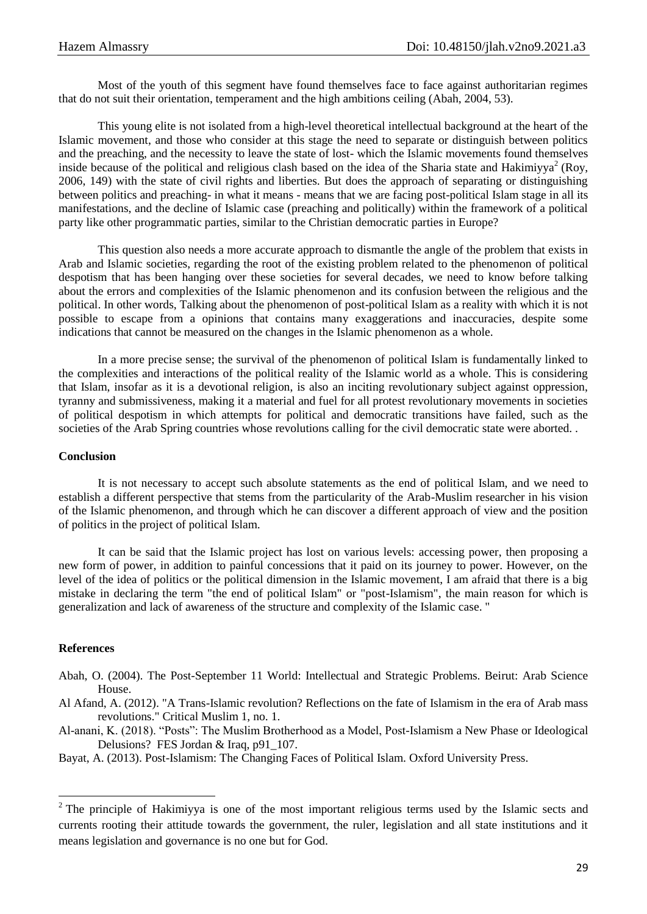Most of the youth of this segment have found themselves face to face against authoritarian regimes that do not suit their orientation, temperament and the high ambitions ceiling (Abah, 2004, 53).

This young elite is not isolated from a high-level theoretical intellectual background at the heart of the Islamic movement, and those who consider at this stage the need to separate or distinguish between politics and the preaching, and the necessity to leave the state of lost- which the Islamic movements found themselves inside because of the political and religious clash based on the idea of the Sharia state and Hakimiyya<sup>2</sup> (Roy, 2006, 149) with the state of civil rights and liberties. But does the approach of separating or distinguishing between politics and preaching- in what it means - means that we are facing post-political Islam stage in all its manifestations, and the decline of Islamic case (preaching and politically) within the framework of a political party like other programmatic parties, similar to the Christian democratic parties in Europe?

This question also needs a more accurate approach to dismantle the angle of the problem that exists in Arab and Islamic societies, regarding the root of the existing problem related to the phenomenon of political despotism that has been hanging over these societies for several decades, we need to know before talking about the errors and complexities of the Islamic phenomenon and its confusion between the religious and the political. In other words, Talking about the phenomenon of post-political Islam as a reality with which it is not possible to escape from a opinions that contains many exaggerations and inaccuracies, despite some indications that cannot be measured on the changes in the Islamic phenomenon as a whole.

In a more precise sense; the survival of the phenomenon of political Islam is fundamentally linked to the complexities and interactions of the political reality of the Islamic world as a whole. This is considering that Islam, insofar as it is a devotional religion, is also an inciting revolutionary subject against oppression, tyranny and submissiveness, making it a material and fuel for all protest revolutionary movements in societies of political despotism in which attempts for political and democratic transitions have failed, such as the societies of the Arab Spring countries whose revolutions calling for the civil democratic state were aborted..

#### **Conclusion**

It is not necessary to accept such absolute statements as the end of political Islam, and we need to establish a different perspective that stems from the particularity of the Arab-Muslim researcher in his vision of the Islamic phenomenon, and through which he can discover a different approach of view and the position of politics in the project of political Islam.

It can be said that the Islamic project has lost on various levels: accessing power, then proposing a new form of power, in addition to painful concessions that it paid on its journey to power. However, on the level of the idea of politics or the political dimension in the Islamic movement, I am afraid that there is a big mistake in declaring the term "the end of political Islam" or "post-Islamism", the main reason for which is generalization and lack of awareness of the structure and complexity of the Islamic case. "

#### **References**

 $\overline{a}$ 

- Abah, O. (2004). The Post-September 11 World: Intellectual and Strategic Problems. Beirut: Arab Science House.
- Al Afand, A. (2012). "A Trans-Islamic revolution? Reflections on the fate of Islamism in the era of Arab mass revolutions." Critical Muslim 1, no. 1.

Al-anani, K. (2018). "Posts": The Muslim Brotherhood as a Model, Post-Islamism a New Phase or Ideological Delusions? FES Jordan & Iraq, p91\_107.

Bayat, A. (2013). Post-Islamism: The Changing Faces of Political Islam. Oxford University Press.

<sup>&</sup>lt;sup>2</sup> The principle of Hakimiyya is one of the most important religious terms used by the Islamic sects and currents rooting their attitude towards the government, the ruler, legislation and all state institutions and it means legislation and governance is no one but for God.